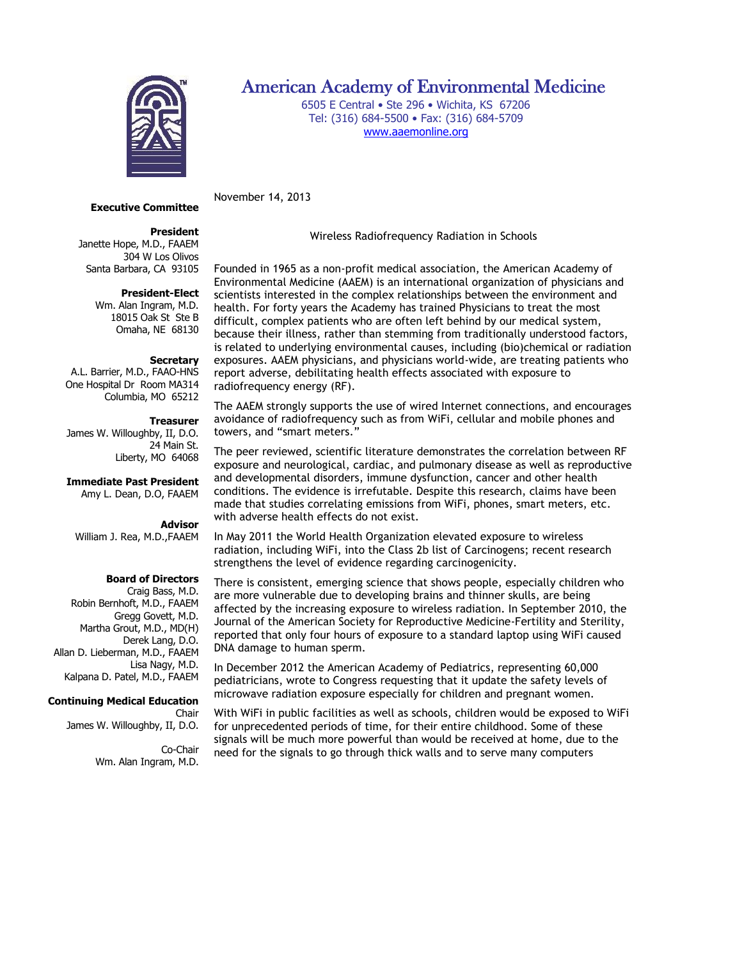

# American Academy of Environmental Medicine

6505 E Central • Ste 296 • Wichita, KS 67206 Tel: (316) 684-5500 • Fax: (316) 684-5709 [www.aaemonline.org](http://www.aaemonline.org/)

**Executive Committee** November 14, 2013

# **President**

Janette Hope, M.D., FAAEM 304 W Los Olivos Santa Barbara, CA 93105

## **President-Elect**

Wm. Alan Ingram, M.D. 18015 Oak St Ste B Omaha, NE 68130

# **Secretary**

A.L. Barrier, M.D., FAAO-HNS One Hospital Dr Room MA314 Columbia, MO 65212

#### **Treasurer**

James W. Willoughby, II, D.O. 24 Main St. Liberty, MO 64068

**Immediate Past President**

Amy L. Dean, D.O, FAAEM

#### **Advisor**

William J. Rea, M.D.,FAAEM

# **Board of Directors**

Craig Bass, M.D. Robin Bernhoft, M.D., FAAEM Gregg Govett, M.D. Martha Grout, M.D., MD(H) Derek Lang, D.O. Allan D. Lieberman, M.D., FAAEM Lisa Nagy, M.D. Kalpana D. Patel, M.D., FAAEM

# **Continuing Medical Education**

Chair James W. Willoughby, II, D.O.

> Co-Chair Wm. Alan Ingram, M.D.

Wireless Radiofrequency Radiation in Schools

Founded in 1965 as a non-profit medical association, the American Academy of Environmental Medicine (AAEM) is an international organization of physicians and scientists interested in the complex relationships between the environment and health. For forty years the Academy has trained Physicians to treat the most difficult, complex patients who are often left behind by our medical system, because their illness, rather than stemming from traditionally understood factors, is related to underlying environmental causes, including (bio)chemical or radiation exposures. AAEM physicians, and physicians world-wide, are treating patients who report adverse, debilitating health effects associated with exposure to radiofrequency energy (RF).

The AAEM strongly supports the use of wired Internet connections, and encourages avoidance of radiofrequency such as from WiFi, cellular and mobile phones and towers, and "smart meters."

The peer reviewed, scientific literature demonstrates the correlation between RF exposure and neurological, cardiac, and pulmonary disease as well as reproductive and developmental disorders, immune dysfunction, cancer and other health conditions. The evidence is irrefutable. Despite this research, claims have been made that studies correlating emissions from WiFi, phones, smart meters, etc. with adverse health effects do not exist.

In May 2011 the World Health Organization elevated exposure to wireless radiation, including WiFi, into the Class 2b list of Carcinogens; recent research strengthens the level of evidence regarding carcinogenicity.

There is consistent, emerging science that shows people, especially children who are more vulnerable due to developing brains and thinner skulls, are being affected by the increasing exposure to wireless radiation. In September 2010, the Journal of the American Society for Reproductive Medicine-Fertility and Sterility, reported that only four hours of exposure to a standard laptop using WiFi caused DNA damage to human sperm.

In December 2012 the American Academy of Pediatrics, representing 60,000 pediatricians, wrote to Congress requesting that it update the safety levels of microwave radiation exposure especially for children and pregnant women.

With WiFi in public facilities as well as schools, children would be exposed to WiFi for unprecedented periods of time, for their entire childhood. Some of these signals will be much more powerful than would be received at home, due to the need for the signals to go through thick walls and to serve many computers